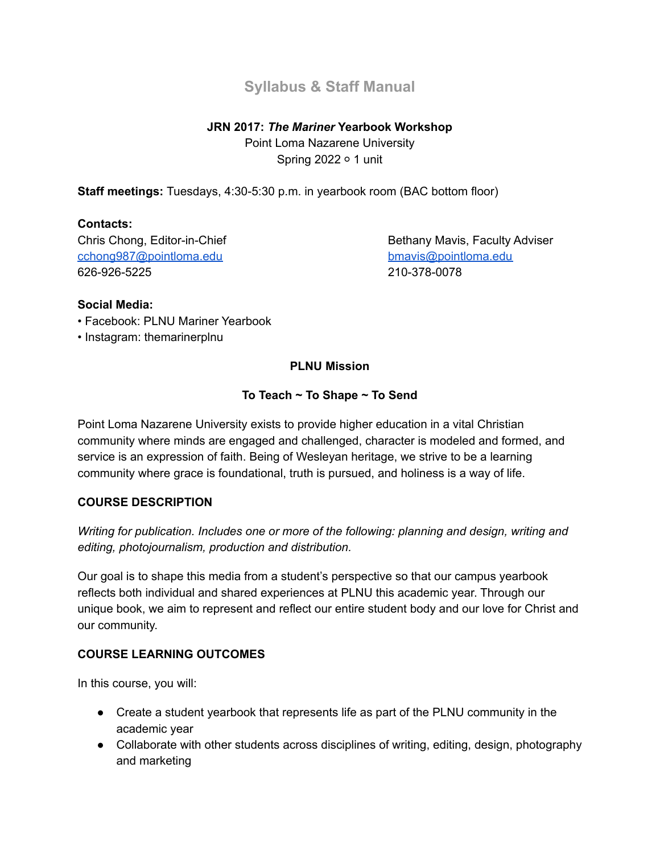# **Syllabus & Staff Manual**

## **JRN 2017:** *The Mariner* **Yearbook Workshop**

Point Loma Nazarene University Spring 2022 ○ 1 unit

**Staff meetings:** Tuesdays, 4:30-5:30 p.m. in yearbook room (BAC bottom floor)

## **Contacts:**

[cchong987@pointloma.edu](mailto:cchong987@pointloma.edu) [bmavis@pointloma.edu](mailto:bmavis@pointloma.edu) 626-926-5225 210-378-0078

Chris Chong, Editor-in-Chief **Bethany Maxis, Faculty Adviser** Bethany Maxis, Faculty Adviser

### **Social Media:**

- Facebook: PLNU Mariner Yearbook
- Instagram: themarinerplnu

## **PLNU Mission**

## **To Teach ~ To Shape ~ To Send**

Point Loma Nazarene University exists to provide higher education in a vital Christian community where minds are engaged and challenged, character is modeled and formed, and service is an expression of faith. Being of Wesleyan heritage, we strive to be a learning community where grace is foundational, truth is pursued, and holiness is a way of life.

#### **COURSE DESCRIPTION**

*Writing for publication. Includes one or more of the following: planning and design, writing and editing, photojournalism, production and distribution.*

Our goal is to shape this media from a student's perspective so that our campus yearbook reflects both individual and shared experiences at PLNU this academic year. Through our unique book, we aim to represent and reflect our entire student body and our love for Christ and our community.

## **COURSE LEARNING OUTCOMES**

In this course, you will:

- Create a student yearbook that represents life as part of the PLNU community in the academic year
- Collaborate with other students across disciplines of writing, editing, design, photography and marketing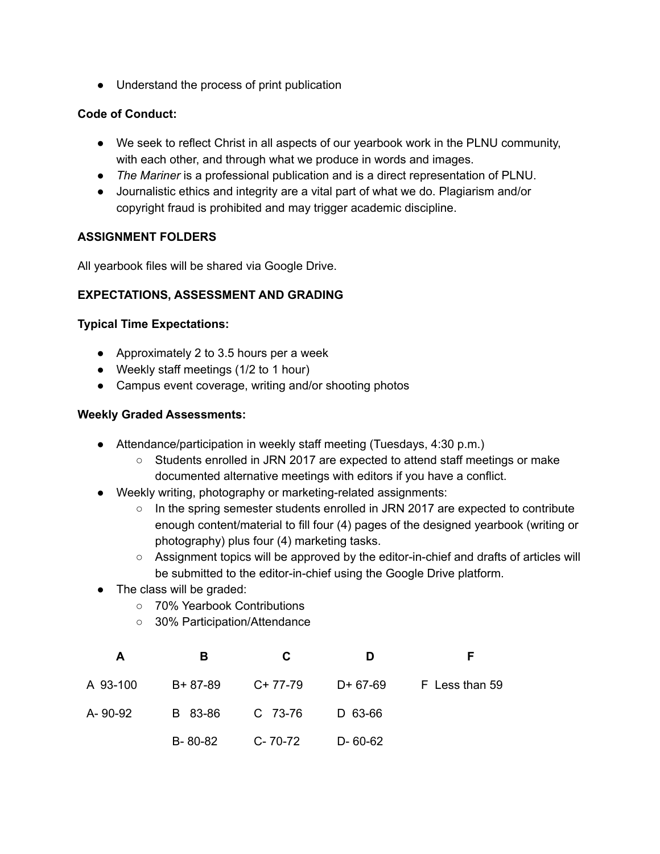● Understand the process of print publication

#### **Code of Conduct:**

- We seek to reflect Christ in all aspects of our yearbook work in the PLNU community, with each other, and through what we produce in words and images.
- *The Mariner* is a professional publication and is a direct representation of PLNU.
- Journalistic ethics and integrity are a vital part of what we do. Plagiarism and/or copyright fraud is prohibited and may trigger academic discipline.

### **ASSIGNMENT FOLDERS**

All yearbook files will be shared via Google Drive.

### **EXPECTATIONS, ASSESSMENT AND GRADING**

### **Typical Time Expectations:**

- Approximately 2 to 3.5 hours per a week
- Weekly staff meetings (1/2 to 1 hour)
- Campus event coverage, writing and/or shooting photos

#### **Weekly Graded Assessments:**

- Attendance/participation in weekly staff meeting (Tuesdays, 4:30 p.m.)
	- Students enrolled in JRN 2017 are expected to attend staff meetings or make documented alternative meetings with editors if you have a conflict.
- Weekly writing, photography or marketing-related assignments:
	- $\circ$  In the spring semester students enrolled in JRN 2017 are expected to contribute enough content/material to fill four (4) pages of the designed yearbook (writing or photography) plus four (4) marketing tasks.
	- Assignment topics will be approved by the editor-in-chief and drafts of articles will be submitted to the editor-in-chief using the Google Drive platform.
- The class will be graded:
	- 70% Yearbook Contributions
	- 30% Participation/Attendance

| A        | В         | C.        | D             | F              |
|----------|-----------|-----------|---------------|----------------|
| A 93-100 | $B+87-89$ | $C+77-79$ | D+ 67-69      | F Less than 59 |
| A- 90-92 | B 83-86   | C 73-76   | D 63-66       |                |
|          | B-80-82   | C-70-72   | $D - 60 - 62$ |                |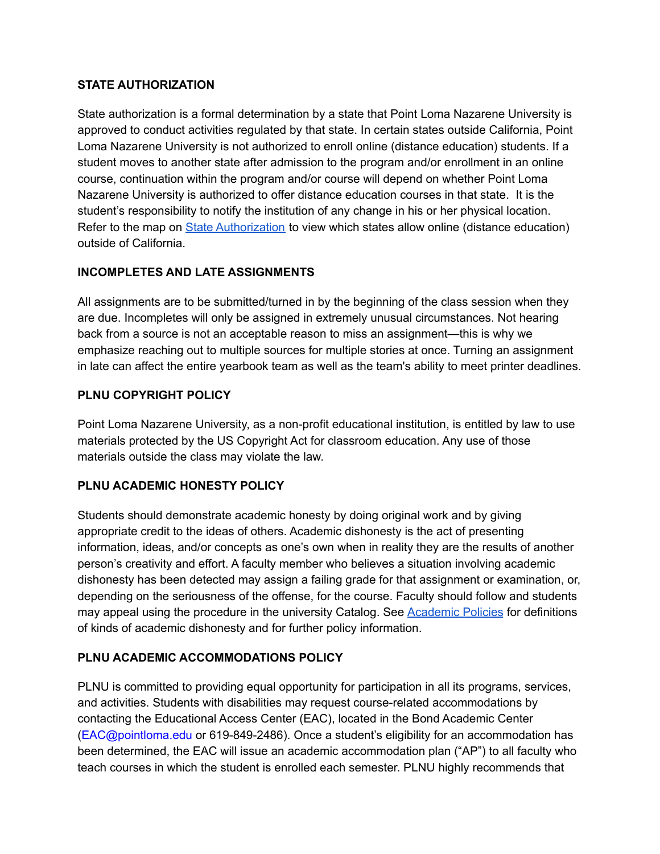## **STATE AUTHORIZATION**

State authorization is a formal determination by a state that Point Loma Nazarene University is approved to conduct activities regulated by that state. In certain states outside California, Point Loma Nazarene University is not authorized to enroll online (distance education) students. If a student moves to another state after admission to the program and/or enrollment in an online course, continuation within the program and/or course will depend on whether Point Loma Nazarene University is authorized to offer distance education courses in that state. It is the student's responsibility to notify the institution of any change in his or her physical location. Refer to the map on State [Authorization](https://www.pointloma.edu/offices/office-institutional-effectiveness-research/disclosures) to view which states allow online (distance education) outside of California.

## **INCOMPLETES AND LATE ASSIGNMENTS**

All assignments are to be submitted/turned in by the beginning of the class session when they are due. Incompletes will only be assigned in extremely unusual circumstances. Not hearing back from a source is not an acceptable reason to miss an assignment—this is why we emphasize reaching out to multiple sources for multiple stories at once. Turning an assignment in late can affect the entire yearbook team as well as the team's ability to meet printer deadlines.

### **PLNU COPYRIGHT POLICY**

Point Loma Nazarene University, as a non-profit educational institution, is entitled by law to use materials protected by the US Copyright Act for classroom education. Any use of those materials outside the class may violate the law.

## **PLNU ACADEMIC HONESTY POLICY**

Students should demonstrate academic honesty by doing original work and by giving appropriate credit to the ideas of others. Academic dishonesty is the act of presenting information, ideas, and/or concepts as one's own when in reality they are the results of another person's creativity and effort. A faculty member who believes a situation involving academic dishonesty has been detected may assign a failing grade for that assignment or examination, or, depending on the seriousness of the offense, for the course. Faculty should follow and students may appeal using the procedure in the university Catalog. See [Academic](http://catalog.pointloma.edu/content.php?catoid=18&navoid=1278) Policies for definitions of kinds of academic dishonesty and for further policy information.

## **PLNU ACADEMIC ACCOMMODATIONS POLICY**

PLNU is committed to providing equal opportunity for participation in all its programs, services, and activities. Students with disabilities may request course-related accommodations by contacting the Educational Access Center (EAC), located in the Bond Academic Center (EAC@pointloma.edu or 619-849-2486). Once a student's eligibility for an accommodation has been determined, the EAC will issue an academic accommodation plan ("AP") to all faculty who teach courses in which the student is enrolled each semester. PLNU highly recommends that